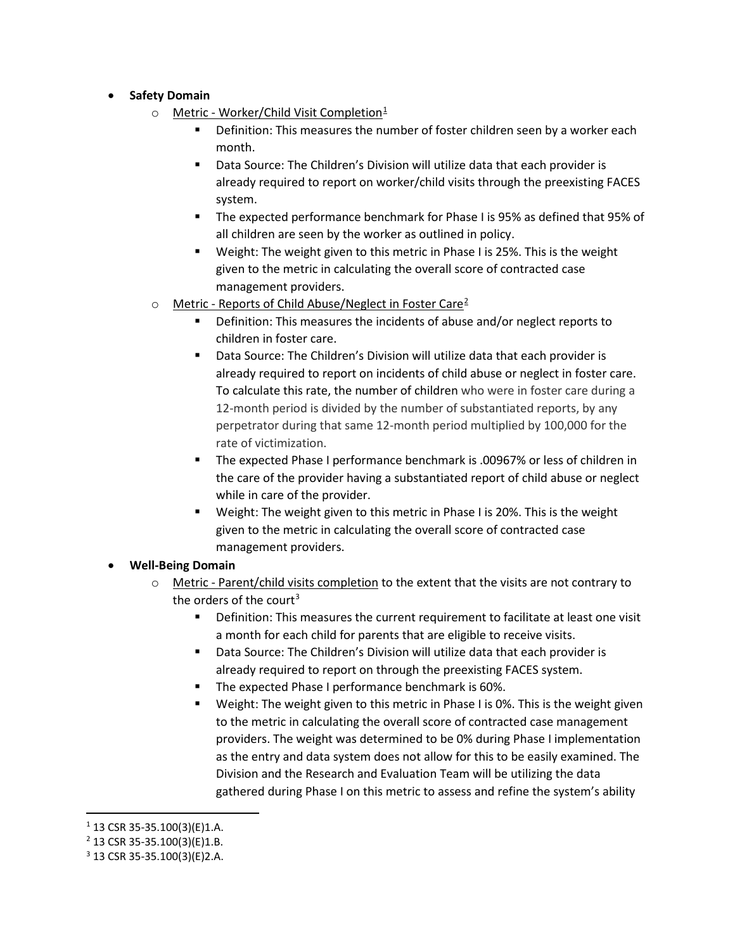- **Safety Domain**
	- o Metric Worker/Child Visit Completion<sup>[1](#page-0-0)</sup>
		- Definition: This measures the number of foster children seen by a worker each month.
		- Data Source: The Children's Division will utilize data that each provider is already required to report on worker/child visits through the preexisting FACES system.
		- The expected performance benchmark for Phase I is 95% as defined that 95% of all children are seen by the worker as outlined in policy.
		- Weight: The weight given to this metric in Phase I is 25%. This is the weight given to the metric in calculating the overall score of contracted case management providers.
	- $\circ$  Metric Reports of Child Abuse/Neglect in Foster Care<sup>[2](#page-0-1)</sup>
		- **•** Definition: This measures the incidents of abuse and/or neglect reports to children in foster care.
		- **Data Source: The Children's Division will utilize data that each provider is** already required to report on incidents of child abuse or neglect in foster care. To calculate this rate, the number of children who were in foster care during a 12-month period is divided by the number of substantiated reports, by any perpetrator during that same 12-month period multiplied by 100,000 for the rate of victimization.
		- The expected Phase I performance benchmark is .00967% or less of children in the care of the provider having a substantiated report of child abuse or neglect while in care of the provider.
		- Weight: The weight given to this metric in Phase I is 20%. This is the weight given to the metric in calculating the overall score of contracted case management providers.

## • **Well-Being Domain**

- $\circ$  Metric Parent/child visits completion to the extent that the visits are not contrary to the orders of the court<sup>[3](#page-0-2)</sup>
	- Definition: This measures the current requirement to facilitate at least one visit a month for each child for parents that are eligible to receive visits.
	- Data Source: The Children's Division will utilize data that each provider is already required to report on through the preexisting FACES system.
	- The expected Phase I performance benchmark is 60%.
	- Weight: The weight given to this metric in Phase I is 0%. This is the weight given to the metric in calculating the overall score of contracted case management providers. The weight was determined to be 0% during Phase I implementation as the entry and data system does not allow for this to be easily examined. The Division and the Research and Evaluation Team will be utilizing the data gathered during Phase I on this metric to assess and refine the system's ability

<span id="page-0-0"></span> $1$  13 CSR 35-35.100(3)(E)1.A.

<span id="page-0-1"></span> $2$  13 CSR 35-35.100(3)(E)1.B.

<span id="page-0-2"></span><sup>3</sup> 13 CSR 35-35.100(3)(E)2.A.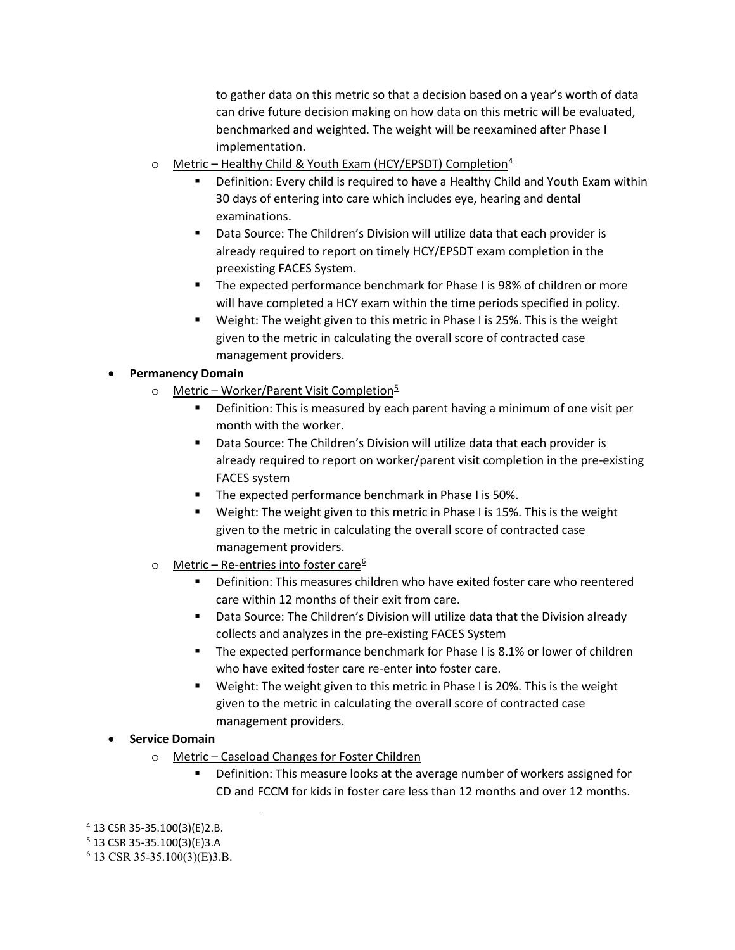to gather data on this metric so that a decision based on a year's worth of data can drive future decision making on how data on this metric will be evaluated, benchmarked and weighted. The weight will be reexamined after Phase I implementation.

- o Metric Healthy Child & Youth Exam (HCY/EPSDT) Completion[4](#page-1-0)
	- Definition: Every child is required to have a Healthy Child and Youth Exam within 30 days of entering into care which includes eye, hearing and dental examinations.
	- Data Source: The Children's Division will utilize data that each provider is already required to report on timely HCY/EPSDT exam completion in the preexisting FACES System.
	- The expected performance benchmark for Phase I is 98% of children or more will have completed a HCY exam within the time periods specified in policy.
	- **•** Weight: The weight given to this metric in Phase I is 25%. This is the weight given to the metric in calculating the overall score of contracted case management providers.

## • **Permanency Domain**

- $\circ$  Metric Worker/Parent Visit Completion<sup>[5](#page-1-1)</sup>
	- **•** Definition: This is measured by each parent having a minimum of one visit per month with the worker.
	- Data Source: The Children's Division will utilize data that each provider is already required to report on worker/parent visit completion in the pre-existing FACES system
	- **The expected performance benchmark in Phase I is 50%.**
	- Weight: The weight given to this metric in Phase I is 15%. This is the weight given to the metric in calculating the overall score of contracted case management providers.
- $\circ$  Metric Re-entries into foster care<sup>[6](#page-1-2)</sup>
	- Definition: This measures children who have exited foster care who reentered care within 12 months of their exit from care.
	- Data Source: The Children's Division will utilize data that the Division already collects and analyzes in the pre-existing FACES System
	- **The expected performance benchmark for Phase I is 8.1% or lower of children** who have exited foster care re-enter into foster care.
	- **U** Weight: The weight given to this metric in Phase I is 20%. This is the weight given to the metric in calculating the overall score of contracted case management providers.

## • **Service Domain**

- o Metric Caseload Changes for Foster Children
	- Definition: This measure looks at the average number of workers assigned for CD and FCCM for kids in foster care less than 12 months and over 12 months.

<span id="page-1-0"></span> $4$  13 CSR 35-35.100(3)(E)2.B.

<span id="page-1-1"></span><sup>5</sup> 13 CSR 35-35.100(3)(E)3.A

<span id="page-1-2"></span> $6$  13 CSR 35-35.100(3)(E)3.B.